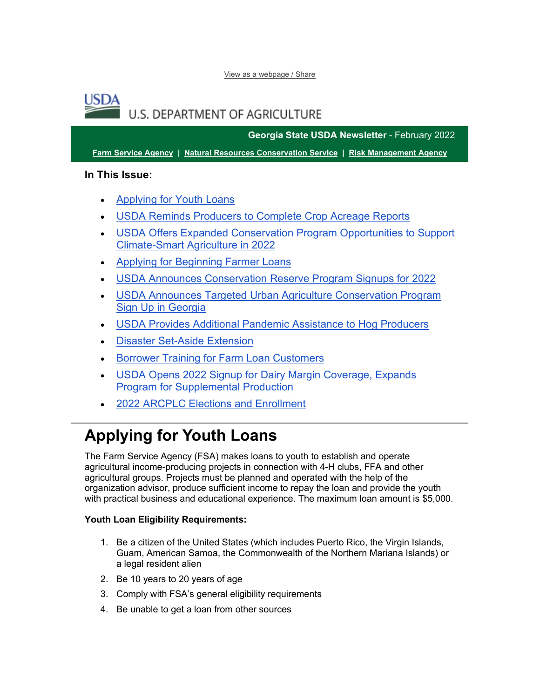[View as a webpage / Share](https://lnks.gd/l/eyJhbGciOiJIUzI1NiJ9.eyJidWxsZXRpbl9saW5rX2lkIjoxMDAsInVyaSI6ImJwMjpjbGljayIsImJ1bGxldGluX2lkIjoiMjAyMjAyMDguNTMwODE5MzEiLCJ1cmwiOiJodHRwczovL2NvbnRlbnQuZ292ZGVsaXZlcnkuY29tL2FjY291bnRzL1VTREFGQVJNRVJTL2J1bGxldGlucy8zMDlhZjQyIn0.WHca2_lYMnL6jkjyyzqqPe7fPuQn2EYm4BEk9VJUWnw/s/1512326346/br/126307924675-l)

## USD4 U.S. DEPARTMENT OF AGRICULTURE

**Georgia State USDA Newsletter** - February 2022

**[Farm Service Agency](https://lnks.gd/l/eyJhbGciOiJIUzI1NiJ9.eyJidWxsZXRpbl9saW5rX2lkIjoxMDEsInVyaSI6ImJwMjpjbGljayIsImJ1bGxldGluX2lkIjoiMjAyMjAyMDguNTMwODE5MzEiLCJ1cmwiOiJodHRwczovL2ZzYS51c2RhLmdvdi8_dXRtX21lZGl1bT1lbWFpbCZ1dG1fc291cmNlPWdvdmRlbGl2ZXJ5In0.rxHxPK78n8kIbDaQknGU564y9So9ahM-4wxo-ff4KDw/s/1512326346/br/126307924675-l) | [Natural Resources Conservation Service](https://lnks.gd/l/eyJhbGciOiJIUzI1NiJ9.eyJidWxsZXRpbl9saW5rX2lkIjoxMDIsInVyaSI6ImJwMjpjbGljayIsImJ1bGxldGluX2lkIjoiMjAyMjAyMDguNTMwODE5MzEiLCJ1cmwiOiJodHRwczovL3d3dy5ucmNzLnVzZGEuZ292L3dwcy9wb3J0YWwvbnJjcy9zaXRlL25hdGlvbmFsL2hvbWUvP3V0bV9tZWRpdW09ZW1haWwmdXRtX3NvdXJjZT1nb3ZkZWxpdmVyeSJ9.ZT_VjJIvz5xMPdAxaT9YSsvheB8rpjqdS0UeLKN1MhI/s/1512326346/br/126307924675-l) | [Risk Management Agency](https://lnks.gd/l/eyJhbGciOiJIUzI1NiJ9.eyJidWxsZXRpbl9saW5rX2lkIjoxMDMsInVyaSI6ImJwMjpjbGljayIsImJ1bGxldGluX2lkIjoiMjAyMjAyMDguNTMwODE5MzEiLCJ1cmwiOiJodHRwczovL3JtYS51c2RhLmdvdi8_dXRtX21lZGl1bT1lbWFpbCZ1dG1fc291cmNlPWdvdmRlbGl2ZXJ5In0.R3SIwVjAnoxMhkHevVtn1Kh_mg0Mqr0kJR-CgWWGFs4/s/1512326346/br/126307924675-l)**

## **In This Issue:**

- [Applying for Youth Loans](#page-0-0)
- [USDA Reminds Producers to Complete Crop Acreage Reports](#page-1-0)
- [USDA Offers Expanded Conservation Program Opportunities to Support](#page-2-0)  [Climate-Smart Agriculture in 2022](#page-2-0)
- [Applying for Beginning Farmer Loans](#page-2-1)
- [USDA Announces Conservation Reserve Program Signups for 2022](#page-2-2)
- [USDA Announces Targeted Urban Agriculture Conservation Program](#page-3-0)  [Sign Up in Georgia](#page-3-0)
- [USDA Provides Additional Pandemic Assistance to Hog Producers](#page-4-0)
- [Disaster Set-Aside Extension](#page-5-0)
- [Borrower Training for Farm Loan Customers](#page-5-1)
- [USDA Opens 2022 Signup for Dairy Margin Coverage, Expands](#page-6-0)  [Program for Supplemental Production](#page-6-0)
- [2022 ARCPLC Elections and Enrollment](#page-7-0)

# <span id="page-0-0"></span>**Applying for Youth Loans**

The Farm Service Agency (FSA) makes loans to youth to establish and operate agricultural income-producing projects in connection with 4-H clubs, FFA and other agricultural groups. Projects must be planned and operated with the help of the organization advisor, produce sufficient income to repay the loan and provide the youth with practical business and educational experience. The maximum loan amount is \$5,000.

## **Youth Loan Eligibility Requirements:**

- 1. Be a citizen of the United States (which includes Puerto Rico, the Virgin Islands, Guam, American Samoa, the Commonwealth of the Northern Mariana Islands) or a legal resident alien
- 2. Be 10 years to 20 years of age
- 3. Comply with FSA's general eligibility requirements
- 4. Be unable to get a loan from other sources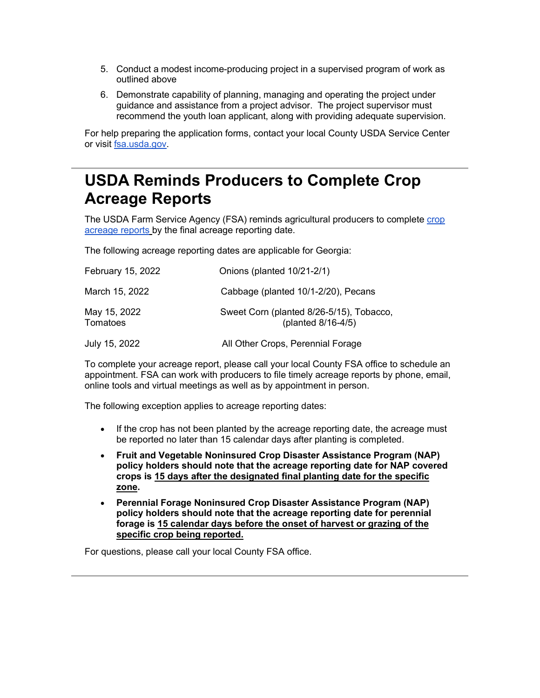- 5. Conduct a modest income-producing project in a supervised program of work as outlined above
- 6. Demonstrate capability of planning, managing and operating the project under guidance and assistance from a project advisor. The project supervisor must recommend the youth loan applicant, along with providing adequate supervision.

For help preparing the application forms, contact your local County USDA Service Center or visit [fsa.usda.gov.](https://lnks.gd/l/eyJhbGciOiJIUzI1NiJ9.eyJidWxsZXRpbl9saW5rX2lkIjoxMDQsInVyaSI6ImJwMjpjbGljayIsImJ1bGxldGluX2lkIjoiMjAyMjAyMDguNTMwODE5MzEiLCJ1cmwiOiJodHRwczovL2djYzAyLnNhZmVsaW5rcy5wcm90ZWN0aW9uLm91dGxvb2suY29tLz9kYXRhPTA0JTdDMDElN0MlN0NkYzY5MDJkOWNiZTE0MDg3NzdiMDA4ZDllYjFjY2ZjNSU3Q2VkNWIzNmU3MDFlZTRlYmM4NjdlZTAzY2ZhMGQ0Njk3JTdDMCU3QzAlN0M2Mzc3OTkzMzEyMzgxMjA0ODAlN0NVbmtub3duJTdDVFdGcGJHWnNiM2Q4ZXlKV0lqb2lNQzR3TGpBd01EQWlMQ0pRSWpvaVYybHVNeklpTENKQlRpSTZJazFoYVd3aUxDSlhWQ0k2TW4wJTNEJTdDMzAwMCZyZXNlcnZlZD0wJnNkYXRhPTR5SmNLQTFXVkZRZDRkRWFsRkd4ZFpKQkc4RWk0ZFFOSkl3RDdCR05JVmclM0QmdXJsPWh0dHAlM0ElMkYlMkZ3d3cuZnNhLnVzZGEuZ292JTJGJTNGdXRtX21lZGl1bSUzRGVtYWlsJTI2dXRtX3NvdXJjZSUzRGdvdmRlbGl2ZXJ5JnV0bV9tZWRpdW09ZW1haWwmdXRtX3NvdXJjZT1nb3ZkZWxpdmVyeSJ9.CR3FZlppsLqspx-eyANeKzEi-9WG_VcA1l6_sl1rix0/s/1512326346/br/126307924675-l)

# <span id="page-1-0"></span>**USDA Reminds Producers to Complete Crop Acreage Reports**

The USDA Farm Service Agency (FSA) reminds agricultural producers to complete [crop](https://lnks.gd/l/eyJhbGciOiJIUzI1NiJ9.eyJidWxsZXRpbl9saW5rX2lkIjoxMDUsInVyaSI6ImJwMjpjbGljayIsImJ1bGxldGluX2lkIjoiMjAyMjAyMDguNTMwODE5MzEiLCJ1cmwiOiJodHRwczovL3d3dy5mYXJtZXJzLmdvdi9jcm9wLWFjcmVhZ2UtcmVwb3J0cz91dG1fbWVkaXVtPWVtYWlsJnV0bV9zb3VyY2U9Z292ZGVsaXZlcnkifQ.ddahJghvWjJDitAgpgZFoJso-PXPXEMJ1-hMk8BCxd8/s/1512326346/br/126307924675-l)  [acreage reports](https://lnks.gd/l/eyJhbGciOiJIUzI1NiJ9.eyJidWxsZXRpbl9saW5rX2lkIjoxMDUsInVyaSI6ImJwMjpjbGljayIsImJ1bGxldGluX2lkIjoiMjAyMjAyMDguNTMwODE5MzEiLCJ1cmwiOiJodHRwczovL3d3dy5mYXJtZXJzLmdvdi9jcm9wLWFjcmVhZ2UtcmVwb3J0cz91dG1fbWVkaXVtPWVtYWlsJnV0bV9zb3VyY2U9Z292ZGVsaXZlcnkifQ.ddahJghvWjJDitAgpgZFoJso-PXPXEMJ1-hMk8BCxd8/s/1512326346/br/126307924675-l) by the final acreage reporting date.

The following acreage reporting dates are applicable for Georgia:

| February 15, 2022        | Onions (planted 10/21-2/1)                                     |
|--------------------------|----------------------------------------------------------------|
| March 15, 2022           | Cabbage (planted 10/1-2/20), Pecans                            |
| May 15, 2022<br>Tomatoes | Sweet Corn (planted 8/26-5/15), Tobacco,<br>(planted 8/16-4/5) |
| July 15, 2022            | All Other Crops, Perennial Forage                              |

To complete your acreage report, please call your local County FSA office to schedule an appointment. FSA can work with producers to file timely acreage reports by phone, email, online tools and virtual meetings as well as by appointment in person.

The following exception applies to acreage reporting dates:

- If the crop has not been planted by the acreage reporting date, the acreage must be reported no later than 15 calendar days after planting is completed.
- **Fruit and Vegetable Noninsured Crop Disaster Assistance Program (NAP) policy holders should note that the acreage reporting date for NAP covered crops is 15 days after the designated final planting date for the specific zone.**
- **Perennial Forage Noninsured Crop Disaster Assistance Program (NAP) policy holders should note that the acreage reporting date for perennial forage is 15 calendar days before the onset of harvest or grazing of the specific crop being reported.**

For questions, please call your local County FSA office.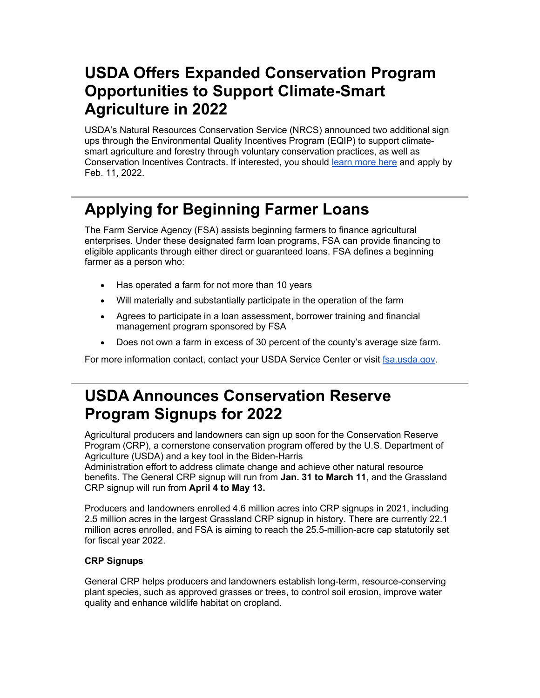# <span id="page-2-0"></span>**USDA Offers Expanded Conservation Program Opportunities to Support Climate-Smart Agriculture in 2022**

USDA's Natural Resources Conservation Service (NRCS) announced two additional sign ups through the Environmental Quality Incentives Program (EQIP) to support climatesmart agriculture and forestry through voluntary conservation practices, as well as Conservation Incentives Contracts. If interested, you should [learn more here](https://lnks.gd/l/eyJhbGciOiJIUzI1NiJ9.eyJidWxsZXRpbl9saW5rX2lkIjoxMDYsInVyaSI6ImJwMjpjbGljayIsImJ1bGxldGluX2lkIjoiMjAyMjAyMDguNTMwODE5MzEiLCJ1cmwiOiJodHRwczovL2djYzAyLnNhZmVsaW5rcy5wcm90ZWN0aW9uLm91dGxvb2suY29tLz9kYXRhPTA0JTdDMDElN0MlN0NmNGE2YzM3NTI4N2Y0NmQ0YmI1MDA4ZDllNzE5YTMzZSU3Q2VkNWIzNmU3MDFlZTRlYmM4NjdlZTAzY2ZhMGQ0Njk3JTdDMCU3QzAlN0M2Mzc3OTQ5MTk1NzYzMDM0OTYlN0NVbmtub3duJTdDVFdGcGJHWnNiM2Q4ZXlKV0lqb2lNQzR3TGpBd01EQWlMQ0pRSWpvaVYybHVNeklpTENKQlRpSTZJazFoYVd3aUxDSlhWQ0k2TW4wJTNEJTdDMzAwMCZyZXNlcnZlZD0wJnNkYXRhPUJEcjlPeGNmVXZha3d6bXFlYlJWOWtFSzVza0IlMkIlMkI4VURXbWFyMDhGbzJJJTNEJnVybD1odHRwcyUzQSUyRiUyRnd3dy5ucmNzLnVzZGEuZ292JTJGd3BzJTJGcG9ydGFsJTJGbnJjcyUyRmRldGFpbCUyRmdhJTJGbmV3c3Jvb20lMkZyZWxlYXNlcyUyRiUzRmNpZCUzRE5SQ1NFUFJEMTg3MDQyNCUyNnV0bV9tZWRpdW0lM0RlbWFpbCUyNnV0bV9zb3VyY2UlM0Rnb3ZkZWxpdmVyeSZ1dG1fbWVkaXVtPWVtYWlsJnV0bV9zb3VyY2U9Z292ZGVsaXZlcnkifQ.pNVX6fRkccCEGtbaV1mbdDUJOeDVN01ng7LVHPu1120/s/1512326346/br/126307924675-l) and apply by Feb. 11, 2022.

# <span id="page-2-1"></span>**Applying for Beginning Farmer Loans**

The Farm Service Agency (FSA) assists beginning farmers to finance agricultural enterprises. Under these designated farm loan programs, FSA can provide financing to eligible applicants through either direct or guaranteed loans. FSA defines a beginning farmer as a person who:

- Has operated a farm for not more than 10 years
- Will materially and substantially participate in the operation of the farm
- Agrees to participate in a loan assessment, borrower training and financial management program sponsored by FSA
- Does not own a farm in excess of 30 percent of the county's average size farm.

For more information contact, contact your USDA Service Center or visit [fsa.usda.gov.](https://lnks.gd/l/eyJhbGciOiJIUzI1NiJ9.eyJidWxsZXRpbl9saW5rX2lkIjoxMDcsInVyaSI6ImJwMjpjbGljayIsImJ1bGxldGluX2lkIjoiMjAyMjAyMDguNTMwODE5MzEiLCJ1cmwiOiJodHRwczovL2djYzAyLnNhZmVsaW5rcy5wcm90ZWN0aW9uLm91dGxvb2suY29tLz9kYXRhPTA0JTdDMDElN0MlN0NkYzY5MDJkOWNiZTE0MDg3NzdiMDA4ZDllYjFjY2ZjNSU3Q2VkNWIzNmU3MDFlZTRlYmM4NjdlZTAzY2ZhMGQ0Njk3JTdDMCU3QzAlN0M2Mzc3OTkzMzEyMzgxMjA0ODAlN0NVbmtub3duJTdDVFdGcGJHWnNiM2Q4ZXlKV0lqb2lNQzR3TGpBd01EQWlMQ0pRSWpvaVYybHVNeklpTENKQlRpSTZJazFoYVd3aUxDSlhWQ0k2TW4wJTNEJTdDMzAwMCZyZXNlcnZlZD0wJnNkYXRhPTR5SmNLQTFXVkZRZDRkRWFsRkd4ZFpKQkc4RWk0ZFFOSkl3RDdCR05JVmclM0QmdXJsPWh0dHAlM0ElMkYlMkZ3d3cuZnNhLnVzZGEuZ292JTJGJTNGdXRtX21lZGl1bSUzRGVtYWlsJTI2dXRtX3NvdXJjZSUzRGdvdmRlbGl2ZXJ5JnV0bV9tZWRpdW09ZW1haWwmdXRtX3NvdXJjZT1nb3ZkZWxpdmVyeSJ9.NRMnPV01oa26Ocd71hqEwr7Amz1oejnu2gmgAFPpAVg/s/1512326346/br/126307924675-l)

# <span id="page-2-2"></span>**USDA Announces Conservation Reserve Program Signups for 2022**

Agricultural producers and landowners can sign up soon for the Conservation Reserve Program (CRP), a cornerstone conservation program offered by the U.S. Department of Agriculture (USDA) and a key tool in the Biden-Harris

Administration effort to address climate change and achieve other natural resource benefits. The General CRP signup will run from **Jan. 31 to March 11**, and the Grassland CRP signup will run from **April 4 to May 13.**

Producers and landowners enrolled 4.6 million acres into CRP signups in 2021, including 2.5 million acres in the largest Grassland CRP signup in history. There are currently 22.1 million acres enrolled, and FSA is aiming to reach the 25.5-million-acre cap statutorily set for fiscal year 2022.

## **CRP Signups**

General CRP helps producers and landowners establish long-term, resource-conserving plant species, such as approved grasses or trees, to control soil erosion, improve water quality and enhance wildlife habitat on cropland.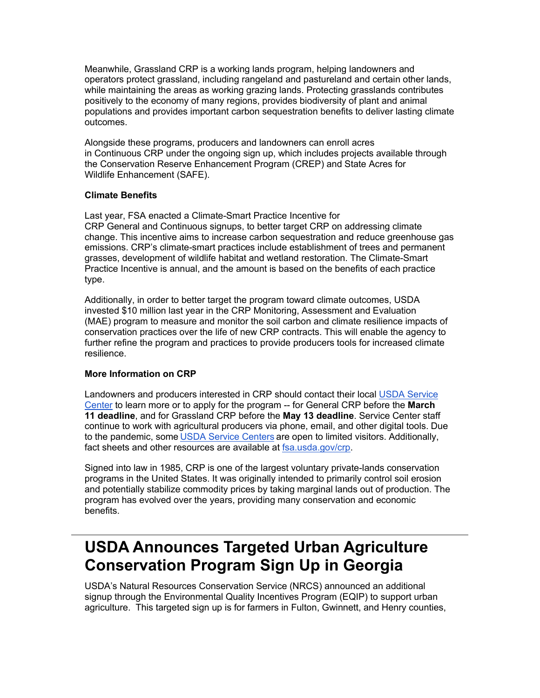Meanwhile, Grassland CRP is a working lands program, helping landowners and operators protect grassland, including rangeland and pastureland and certain other lands, while maintaining the areas as working grazing lands. Protecting grasslands contributes positively to the economy of many regions, provides biodiversity of plant and animal populations and provides important carbon sequestration benefits to deliver lasting climate outcomes.

Alongside these programs, producers and landowners can enroll acres in Continuous CRP under the ongoing sign up, which includes projects available through the Conservation Reserve Enhancement Program (CREP) and State Acres for Wildlife Enhancement (SAFE).

## **Climate Benefits**

Last year, FSA enacted a Climate-Smart Practice Incentive for CRP General and Continuous signups, to better target CRP on addressing climate change. This incentive aims to increase carbon sequestration and reduce greenhouse gas emissions. CRP's climate-smart practices include establishment of trees and permanent grasses, development of wildlife habitat and wetland restoration. The Climate-Smart Practice Incentive is annual, and the amount is based on the benefits of each practice type.

Additionally, in order to better target the program toward climate outcomes, USDA invested \$10 million last year in the CRP Monitoring, Assessment and Evaluation (MAE) program to measure and monitor the soil carbon and climate resilience impacts of conservation practices over the life of new CRP contracts. This will enable the agency to further refine the program and practices to provide producers tools for increased climate resilience.

## **More Information on CRP**

Landowners and producers interested in CRP should contact their local [USDA Service](https://lnks.gd/l/eyJhbGciOiJIUzI1NiJ9.eyJidWxsZXRpbl9saW5rX2lkIjoxMDgsInVyaSI6ImJwMjpjbGljayIsImJ1bGxldGluX2lkIjoiMjAyMjAyMDguNTMwODE5MzEiLCJ1cmwiOiJodHRwOi8vd3d3LmZhcm1lcnMuZ292L3NlcnZpY2UtbG9jYXRvcj91dG1fbWVkaXVtPWVtYWlsJnV0bV9zb3VyY2U9Z292ZGVsaXZlcnkifQ.-XcJXCtwvuJO07kEsdYSgVzUwiOUHNjHd129r5WtL68/s/1512326346/br/126307924675-l)  [Center](https://lnks.gd/l/eyJhbGciOiJIUzI1NiJ9.eyJidWxsZXRpbl9saW5rX2lkIjoxMDgsInVyaSI6ImJwMjpjbGljayIsImJ1bGxldGluX2lkIjoiMjAyMjAyMDguNTMwODE5MzEiLCJ1cmwiOiJodHRwOi8vd3d3LmZhcm1lcnMuZ292L3NlcnZpY2UtbG9jYXRvcj91dG1fbWVkaXVtPWVtYWlsJnV0bV9zb3VyY2U9Z292ZGVsaXZlcnkifQ.-XcJXCtwvuJO07kEsdYSgVzUwiOUHNjHd129r5WtL68/s/1512326346/br/126307924675-l) to learn more or to apply for the program -- for General CRP before the **March 11 deadline**, and for Grassland CRP before the **May 13 deadline**. Service Center staff continue to work with agricultural producers via phone, email, and other digital tools. Due to the pandemic, some [USDA Service Centers](https://lnks.gd/l/eyJhbGciOiJIUzI1NiJ9.eyJidWxsZXRpbl9saW5rX2lkIjoxMDksInVyaSI6ImJwMjpjbGljayIsImJ1bGxldGluX2lkIjoiMjAyMjAyMDguNTMwODE5MzEiLCJ1cmwiOiJodHRwOi8vd3d3LmZhcm1lcnMuZ292L3NlcnZpY2UtbG9jYXRvcj91dG1fbWVkaXVtPWVtYWlsJnV0bV9zb3VyY2U9Z292ZGVsaXZlcnkifQ.c79mBiN51lWV23hvaT6qObtM4ItvpBE2Muct2V49uOc/s/1512326346/br/126307924675-l) are open to limited visitors. Additionally, fact sheets and other resources are available at [fsa.usda.gov/crp.](https://lnks.gd/l/eyJhbGciOiJIUzI1NiJ9.eyJidWxsZXRpbl9saW5rX2lkIjoxMTAsInVyaSI6ImJwMjpjbGljayIsImJ1bGxldGluX2lkIjoiMjAyMjAyMDguNTMwODE5MzEiLCJ1cmwiOiJodHRwczovL3d3dy5mc2EudXNkYS5nb3YvY3JwP3V0bV9tZWRpdW09ZW1haWwmdXRtX3NvdXJjZT1nb3ZkZWxpdmVyeSJ9.gEzjyBGmABI7IBziuP3DNK0dzYqKqEQw3lrOE_U_PHE/s/1512326346/br/126307924675-l)

Signed into law in 1985, CRP is one of the largest voluntary private-lands conservation programs in the United States. It was originally intended to primarily control soil erosion and potentially stabilize commodity prices by taking marginal lands out of production. The program has evolved over the years, providing many conservation and economic benefits.

# <span id="page-3-0"></span>**USDA Announces Targeted Urban Agriculture Conservation Program Sign Up in Georgia**

USDA's Natural Resources Conservation Service (NRCS) announced an additional signup through the Environmental Quality Incentives Program (EQIP) to support urban agriculture. This targeted sign up is for farmers in Fulton, Gwinnett, and Henry counties,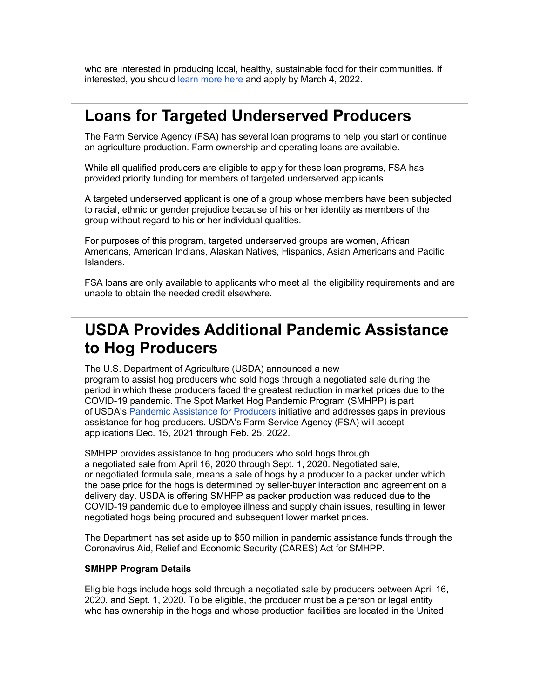who are interested in producing local, healthy, sustainable food for their communities. If interested, you should [learn more here](https://lnks.gd/l/eyJhbGciOiJIUzI1NiJ9.eyJidWxsZXRpbl9saW5rX2lkIjoxMTEsInVyaSI6ImJwMjpjbGljayIsImJ1bGxldGluX2lkIjoiMjAyMjAyMDguNTMwODE5MzEiLCJ1cmwiOiJodHRwczovL2djYzAyLnNhZmVsaW5rcy5wcm90ZWN0aW9uLm91dGxvb2suY29tLz9kYXRhPTA0JTdDMDElN0MlN0NmNGE2YzM3NTI4N2Y0NmQ0YmI1MDA4ZDllNzE5YTMzZSU3Q2VkNWIzNmU3MDFlZTRlYmM4NjdlZTAzY2ZhMGQ0Njk3JTdDMCU3QzAlN0M2Mzc3OTQ5MTk1NzYzMDM0OTYlN0NVbmtub3duJTdDVFdGcGJHWnNiM2Q4ZXlKV0lqb2lNQzR3TGpBd01EQWlMQ0pRSWpvaVYybHVNeklpTENKQlRpSTZJazFoYVd3aUxDSlhWQ0k2TW4wJTNEJTdDMzAwMCZyZXNlcnZlZD0wJnNkYXRhPXNnQWVROWZDTTd2R29WbVJHaVpFbmh5ek5WdEpHRnIlMkI2R3MzME1MdEJ5NCUzRCZ1cmw9aHR0cHMlM0ElMkYlMkZ3d3cubnJjcy51c2RhLmdvdiUyRndwcyUyRnBvcnRhbCUyRm5yY3MlMkZkZXRhaWwlMkZnYSUyRm5ld3Nyb29tJTJGcmVsZWFzZXMlMkYlM0ZjaWQlM0ROUkNTRVBSRDE4ODA2MzklMjZ1dG1fbWVkaXVtJTNEZW1haWwlMjZ1dG1fc291cmNlJTNEZ292ZGVsaXZlcnkmdXRtX21lZGl1bT1lbWFpbCZ1dG1fc291cmNlPWdvdmRlbGl2ZXJ5In0.cDBMyWfzaFwQsMT-bMZYasO2JxJDw2LAj4k5D-XZ5C8/s/1512326346/br/126307924675-l) and apply by March 4, 2022.

## **Loans for Targeted Underserved Producers**

The Farm Service Agency (FSA) has several loan programs to help you start or continue an agriculture production. Farm ownership and operating loans are available.

While all qualified producers are eligible to apply for these loan programs, FSA has provided priority funding for members of targeted underserved applicants.

A targeted underserved applicant is one of a group whose members have been subjected to racial, ethnic or gender prejudice because of his or her identity as members of the group without regard to his or her individual qualities.

For purposes of this program, targeted underserved groups are women, African Americans, American Indians, Alaskan Natives, Hispanics, Asian Americans and Pacific Islanders.

FSA loans are only available to applicants who meet all the eligibility requirements and are unable to obtain the needed credit elsewhere.

# <span id="page-4-0"></span>**USDA Provides Additional Pandemic Assistance to Hog Producers**

The U.S. Department of Agriculture (USDA) announced a new program to assist hog producers who sold hogs through a negotiated sale during the period in which these producers faced the greatest reduction in market prices due to the COVID-19 pandemic. The Spot Market Hog Pandemic Program (SMHPP) is part of USDA's [Pandemic Assistance for Producers](https://lnks.gd/l/eyJhbGciOiJIUzI1NiJ9.eyJidWxsZXRpbl9saW5rX2lkIjoxMTIsInVyaSI6ImJwMjpjbGljayIsImJ1bGxldGluX2lkIjoiMjAyMjAyMDguNTMwODE5MzEiLCJ1cmwiOiJodHRwOi8vd3d3LmZhcm1lcnMuZ292L3BhbmRlbWljLWFzc2lzdGFuY2U_dXRtX21lZGl1bT1lbWFpbCZ1dG1fc291cmNlPWdvdmRlbGl2ZXJ5In0.ZDBJZU2jvRnZu_FYmQZDlrUsr6Cx3h0G8B2J_SGfNkw/s/1512326346/br/126307924675-l) initiative and addresses gaps in previous assistance for hog producers. USDA's Farm Service Agency (FSA) will accept applications Dec. 15, 2021 through Feb. 25, 2022.     

SMHPP provides assistance to hog producers who sold hogs through a negotiated sale from April 16, 2020 through Sept. 1, 2020. Negotiated sale, or negotiated formula sale, means a sale of hogs by a producer to a packer under which the base price for the hogs is determined by seller-buyer interaction and agreement on a delivery day. USDA is offering SMHPP as packer production was reduced due to the COVID-19 pandemic due to employee illness and supply chain issues, resulting in fewer negotiated hogs being procured and subsequent lower market prices.

The Department has set aside up to \$50 million in pandemic assistance funds through the Coronavirus Aid, Relief and Economic Security (CARES) Act for SMHPP.

## **SMHPP Program Details**

Eligible hogs include hogs sold through a negotiated sale by producers between April 16, 2020, and Sept. 1, 2020. To be eligible, the producer must be a person or legal entity who has ownership in the hogs and whose production facilities are located in the United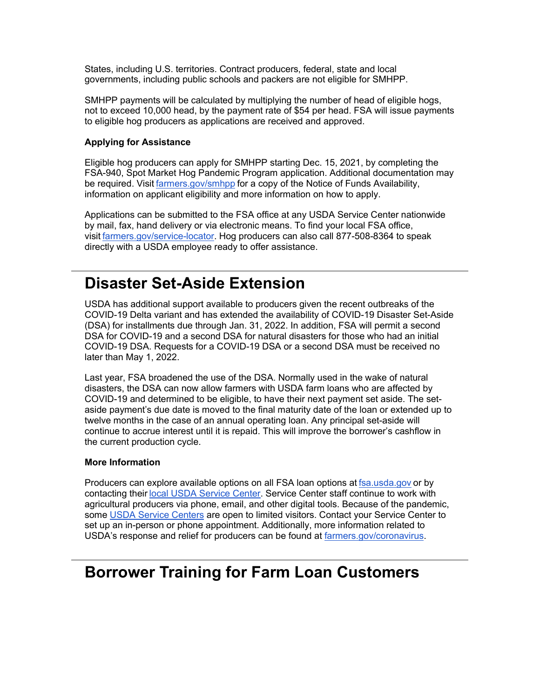States, including U.S. territories. Contract producers, federal, state and local governments, including public schools and packers are not eligible for SMHPP. 

SMHPP payments will be calculated by multiplying the number of head of eligible hogs, not to exceed 10,000 head, by the payment rate of \$54 per head. FSA will issue payments to eligible hog producers as applications are received and approved.

## **Applying for Assistance**

Eligible hog producers can apply for SMHPP starting Dec. 15, 2021, by completing the FSA-940, Spot Market Hog Pandemic Program application. Additional documentation may be required. Visit [farmers.gov/smhpp](https://lnks.gd/l/eyJhbGciOiJIUzI1NiJ9.eyJidWxsZXRpbl9saW5rX2lkIjoxMTMsInVyaSI6ImJwMjpjbGljayIsImJ1bGxldGluX2lkIjoiMjAyMjAyMDguNTMwODE5MzEiLCJ1cmwiOiJodHRwOi8vd3d3LmZhcm1lcnMuZ292L3NtaHBwP3V0bV9tZWRpdW09ZW1haWwmdXRtX3NvdXJjZT1nb3ZkZWxpdmVyeSJ9.fAfL9-D-xInXfreYFXrXexZN9ntWGQTxDScJNVnejDs/s/1512326346/br/126307924675-l) for a copy of the Notice of Funds Availability, information on applicant eligibility and more information on how to apply. 

Applications can be submitted to the FSA office at any USDA Service Center nationwide by mail, fax, hand delivery or via electronic means. To find your local FSA office, visit [farmers.gov/service-locator.](https://lnks.gd/l/eyJhbGciOiJIUzI1NiJ9.eyJidWxsZXRpbl9saW5rX2lkIjoxMTQsInVyaSI6ImJwMjpjbGljayIsImJ1bGxldGluX2lkIjoiMjAyMjAyMDguNTMwODE5MzEiLCJ1cmwiOiJodHRwOi8vd3d3LmZhcm1lcnMuZ292L3NlcnZpY2UtbG9jYXRvcj91dG1fbWVkaXVtPWVtYWlsJnV0bV9zb3VyY2U9Z292ZGVsaXZlcnkifQ.SdPBKelWR0f7sNzpglTKNlNpmVkCwm18kFywKM8k7lE/s/1512326346/br/126307924675-l) Hog producers can also call 877-508-8364 to speak directly with a USDA employee ready to offer assistance.

## <span id="page-5-0"></span>**Disaster Set-Aside Extension**

USDA has additional support available to producers given the recent outbreaks of the COVID-19 Delta variant and has extended the availability of COVID-19 Disaster Set-Aside (DSA) for installments due through Jan. 31, 2022. In addition, FSA will permit a second DSA for COVID-19 and a second DSA for natural disasters for those who had an initial COVID-19 DSA. Requests for a COVID-19 DSA or a second DSA must be received no later than May 1, 2022.

Last year, FSA broadened the use of the DSA. Normally used in the wake of natural disasters, the DSA can now allow farmers with USDA farm loans who are affected by COVID-19 and determined to be eligible, to have their next payment set aside. The setaside payment's due date is moved to the final maturity date of the loan or extended up to twelve months in the case of an annual operating loan. Any principal set-aside will continue to accrue interest until it is repaid. This will improve the borrower's cashflow in the current production cycle.

## **More Information**

Producers can explore available options on all FSA loan options at [fsa.usda.gov](https://lnks.gd/l/eyJhbGciOiJIUzI1NiJ9.eyJidWxsZXRpbl9saW5rX2lkIjoxMTUsInVyaSI6ImJwMjpjbGljayIsImJ1bGxldGluX2lkIjoiMjAyMjAyMDguNTMwODE5MzEiLCJ1cmwiOiJodHRwczovL2djYzAyLnNhZmVsaW5rcy5wcm90ZWN0aW9uLm91dGxvb2suY29tLz9kYXRhPTA0JTdDMDElN0MlN0NkYzY5MDJkOWNiZTE0MDg3NzdiMDA4ZDllYjFjY2ZjNSU3Q2VkNWIzNmU3MDFlZTRlYmM4NjdlZTAzY2ZhMGQ0Njk3JTdDMCU3QzAlN0M2Mzc3OTkzMzEyMzgxMjA0ODAlN0NVbmtub3duJTdDVFdGcGJHWnNiM2Q4ZXlKV0lqb2lNQzR3TGpBd01EQWlMQ0pRSWpvaVYybHVNeklpTENKQlRpSTZJazFoYVd3aUxDSlhWQ0k2TW4wJTNEJTdDMzAwMCZyZXNlcnZlZD0wJnNkYXRhPUVoTDVkNXc0ZXR0b1k2SEV4clg1bDd6Zll1V3NnUVlSZSUyQldaTnp5eWZwayUzRCZ1cmw9aHR0cHMlM0ElMkYlMkZ3d3cuZnNhLnVzZGEuZ292JTJGJTNGdXRtX21lZGl1bSUzRGVtYWlsJTI2dXRtX3NvdXJjZSUzRGdvdmRlbGl2ZXJ5JnV0bV9tZWRpdW09ZW1haWwmdXRtX3NvdXJjZT1nb3ZkZWxpdmVyeSJ9.SL6YUVnGZxTAbrkOQIIR2u3xZivFO6cnPvSDh_MsAEs/s/1512326346/br/126307924675-l) or by contacting their [local USDA Service Center.](https://lnks.gd/l/eyJhbGciOiJIUzI1NiJ9.eyJidWxsZXRpbl9saW5rX2lkIjoxMTYsInVyaSI6ImJwMjpjbGljayIsImJ1bGxldGluX2lkIjoiMjAyMjAyMDguNTMwODE5MzEiLCJ1cmwiOiJodHRwczovL3d3dy5mYXJtZXJzLmdvdi93b3JraW5nLXdpdGgtdXMvc2VydmljZS1jZW50ZXItbG9jYXRvcj91dG1fbWVkaXVtPWVtYWlsJnV0bV9zb3VyY2U9Z292ZGVsaXZlcnkifQ.2e7wXo58YWeu4o96fd_DXgIY5fMokokYPVjCNWNzKiA/s/1512326346/br/126307924675-l) Service Center staff continue to work with agricultural producers via phone, email, and other digital tools. Because of the pandemic, some [USDA Service Centers](https://lnks.gd/l/eyJhbGciOiJIUzI1NiJ9.eyJidWxsZXRpbl9saW5rX2lkIjoxMTcsInVyaSI6ImJwMjpjbGljayIsImJ1bGxldGluX2lkIjoiMjAyMjAyMDguNTMwODE5MzEiLCJ1cmwiOiJodHRwOi8vd3d3LmZhcm1lcnMuZ292L3NlcnZpY2UtbG9jYXRvcj91dG1fbWVkaXVtPWVtYWlsJnV0bV9zb3VyY2U9Z292ZGVsaXZlcnkifQ.jD6aCbCCozGuzx9tlUhamrWqMqQjwZJfmxMirbsAinI/s/1512326346/br/126307924675-l) are open to limited visitors. Contact your Service Center to set up an in-person or phone appointment. Additionally, more information related to USDA's response and relief for producers can be found at [farmers.gov/coronavirus.](https://lnks.gd/l/eyJhbGciOiJIUzI1NiJ9.eyJidWxsZXRpbl9saW5rX2lkIjoxMTgsInVyaSI6ImJwMjpjbGljayIsImJ1bGxldGluX2lkIjoiMjAyMjAyMDguNTMwODE5MzEiLCJ1cmwiOiJodHRwczovL3d3dy5mYXJtZXJzLmdvdi9jb3JvbmF2aXJ1cz91dG1fbWVkaXVtPWVtYWlsJnV0bV9zb3VyY2U9Z292ZGVsaXZlcnkifQ.I7KPUFRb9STGjKOaSYcwJjhihsS_hpadJXW4l1scd2A/s/1512326346/br/126307924675-l)

## <span id="page-5-1"></span>**Borrower Training for Farm Loan Customers**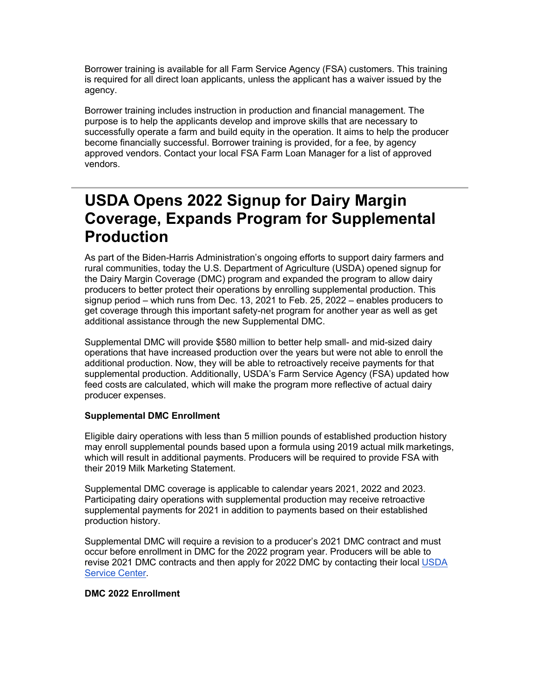Borrower training is available for all Farm Service Agency (FSA) customers. This training is required for all direct loan applicants, unless the applicant has a waiver issued by the agency.

Borrower training includes instruction in production and financial management. The purpose is to help the applicants develop and improve skills that are necessary to successfully operate a farm and build equity in the operation. It aims to help the producer become financially successful. Borrower training is provided, for a fee, by agency approved vendors. Contact your local FSA Farm Loan Manager for a list of approved vendors.

## <span id="page-6-0"></span>**USDA Opens 2022 Signup for Dairy Margin Coverage, Expands Program for Supplemental Production**

As part of the Biden-Harris Administration's ongoing efforts to support dairy farmers and rural communities, today the U.S. Department of Agriculture (USDA) opened signup for the Dairy Margin Coverage (DMC) program and expanded the program to allow dairy producers to better protect their operations by enrolling supplemental production. This signup period – which runs from Dec. 13, 2021 to Feb. 25, 2022 – enables producers to get coverage through this important safety-net program for another year as well as get additional assistance through the new Supplemental DMC.

Supplemental DMC will provide \$580 million to better help small- and mid-sized dairy operations that have increased production over the years but were not able to enroll the additional production. Now, they will be able to retroactively receive payments for that supplemental production. Additionally, USDA's Farm Service Agency (FSA) updated how feed costs are calculated, which will make the program more reflective of actual dairy producer expenses. 

## **Supplemental DMC Enrollment**

Eligible dairy operations with less than 5 million pounds of established production history may enroll supplemental pounds based upon a formula using 2019 actual milk marketings, which will result in additional payments. Producers will be required to provide FSA with their 2019 Milk Marketing Statement.

Supplemental DMC coverage is applicable to calendar years 2021, 2022 and 2023. Participating dairy operations with supplemental production may receive retroactive supplemental payments for 2021 in addition to payments based on their established production history.

Supplemental DMC will require a revision to a producer's 2021 DMC contract and must occur before enrollment in DMC for the 2022 program year. Producers will be able to revise 2021 DMC contracts and then apply for 2022 DMC by contacting their local USDA [Service Center.](https://lnks.gd/l/eyJhbGciOiJIUzI1NiJ9.eyJidWxsZXRpbl9saW5rX2lkIjoxMTksInVyaSI6ImJwMjpjbGljayIsImJ1bGxldGluX2lkIjoiMjAyMjAyMDguNTMwODE5MzEiLCJ1cmwiOiJodHRwczovL3d3dy5mYXJtZXJzLmdvdi93b3JraW5nLXdpdGgtdXMvc2VydmljZS1jZW50ZXItbG9jYXRvcj91dG1fbWVkaXVtPWVtYWlsJnV0bV9zb3VyY2U9Z292ZGVsaXZlcnkifQ.RiOZJ7i94k-fqs1IWZjptbj9ocVmgDetLqpZ1zUBcPY/s/1512326346/br/126307924675-l)

## **DMC 2022 Enrollment**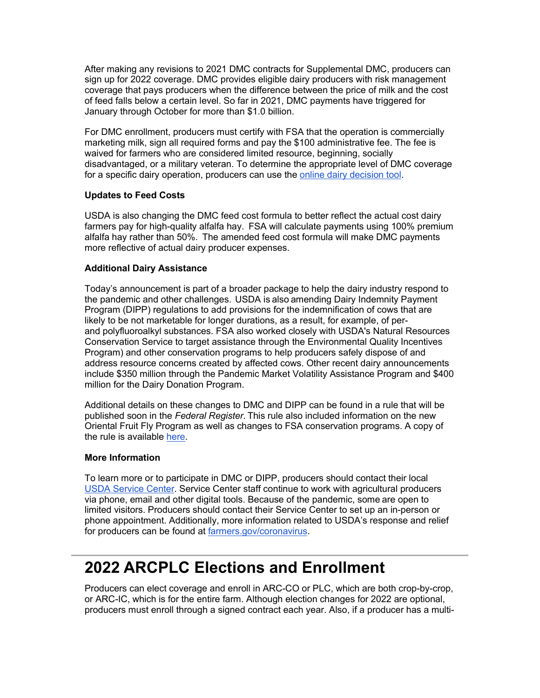After making any revisions to 2021 DMC contracts for Supplemental DMC, producers can sign up for 2022 coverage. DMC provides eligible dairy producers with risk management coverage that pays producers when the difference between the price of milk and the cost of feed falls below a certain level. So far in 2021, DMC payments have triggered for January through October for more than \$1.0 billion.

For DMC enrollment, producers must certify with FSA that the operation is commercially marketing milk, sign all required forms and pay the \$100 administrative fee. The fee is waived for farmers who are considered limited resource, beginning, socially disadvantaged, or a military veteran. To determine the appropriate level of DMC coverage for a specific dairy operation, producers can use the [online dairy decision tool.](https://lnks.gd/l/eyJhbGciOiJIUzI1NiJ9.eyJidWxsZXRpbl9saW5rX2lkIjoxMjAsInVyaSI6ImJwMjpjbGljayIsImJ1bGxldGluX2lkIjoiMjAyMjAyMDguNTMwODE5MzEiLCJ1cmwiOiJodHRwczovL2djYzAyLnNhZmVsaW5rcy5wcm90ZWN0aW9uLm91dGxvb2suY29tLz9kYXRhPTA0JTdDMDElN0MlN0NjMWI3MDIxYzhkOTY0N2ViMDJhYjA4ZDliYTdlYzc5OSU3Q2VkNWIzNmU3MDFlZTRlYmM4NjdlZTAzY2ZhMGQ0Njk3JTdDMCU3QzAlN0M2Mzc3NDU4NzU5NDIxMDg1MTElN0NVbmtub3duJTdDVFdGcGJHWnNiM2Q4ZXlKV0lqb2lNQzR3TGpBd01EQWlMQ0pRSWpvaVYybHVNeklpTENKQlRpSTZJazFoYVd3aUxDSlhWQ0k2TW4wJTNEJTdDMzAwMCZyZXNlcnZlZD0wJnNkYXRhPUZVZ09pVUdmTmR2Q0FYUFJ5d2xDTW5LcUVXTWprZ24zNmhiMmN1UUV2YzQlM0QmdXJsPWh0dHBzJTNBJTJGJTJGZG1jLmRhaXJ5bWFya2V0cy5vcmclMkYlM0Z1dG1fbWVkaXVtJTNEZW1haWwlMjZ1dG1fc291cmNlJTNEZ292ZGVsaXZlcnkmdXRtX21lZGl1bT1lbWFpbCZ1dG1fc291cmNlPWdvdmRlbGl2ZXJ5In0.qXYJ0ySxemnhhFie77FNW2cvDDzvqrkeU5ZE5nXlNYY/s/1512326346/br/126307924675-l)

## **Updates to Feed Costs**

USDA is also changing the DMC feed cost formula to better reflect the actual cost dairy farmers pay for high-quality alfalfa hay.  FSA will calculate payments using 100% premium alfalfa hay rather than 50%.  The amended feed cost formula will make DMC payments more reflective of actual dairy producer expenses.  

## **Additional Dairy Assistance**

Today's announcement is part of a broader package to help the dairy industry respond to the pandemic and other challenges.  USDA is also amending Dairy Indemnity Payment Program (DIPP) regulations to add provisions for the indemnification of cows that are likely to be not marketable for longer durations, as a result, for example, of perand polyfluoroalkyl substances. FSA also worked closely with USDA's Natural Resources Conservation Service to target assistance through the Environmental Quality Incentives Program) and other conservation programs to help producers safely dispose of and address resource concerns created by affected cows. Other recent dairy announcements include \$350 million through the Pandemic Market Volatility Assistance Program and \$400 million for the Dairy Donation Program.

Additional details on these changes to DMC and DIPP can be found in a rule that will be published soon in the *Federal Register*. This rule also included information on the new Oriental Fruit Fly Program as well as changes to FSA conservation programs. A copy of the rule is available [here.](https://lnks.gd/l/eyJhbGciOiJIUzI1NiJ9.eyJidWxsZXRpbl9saW5rX2lkIjoxMjEsInVyaSI6ImJwMjpjbGljayIsImJ1bGxldGluX2lkIjoiMjAyMjAyMDguNTMwODE5MzEiLCJ1cmwiOiJodHRwczovL2djYzAyLnNhZmVsaW5rcy5wcm90ZWN0aW9uLm91dGxvb2suY29tLz9kYXRhPTA0JTdDMDElN0MlN0NjMWI3MDIxYzhkOTY0N2ViMDJhYjA4ZDliYTdlYzc5OSU3Q2VkNWIzNmU3MDFlZTRlYmM4NjdlZTAzY2ZhMGQ0Njk3JTdDMCU3QzAlN0M2Mzc3NDU4NzU5NDIxMDg1MTElN0NVbmtub3duJTdDVFdGcGJHWnNiM2Q4ZXlKV0lqb2lNQzR3TGpBd01EQWlMQ0pRSWpvaVYybHVNeklpTENKQlRpSTZJazFoYVd3aUxDSlhWQ0k2TW4wJTNEJTdDMzAwMCZyZXNlcnZlZD0wJnNkYXRhPUJaSXM4OEtuc2EwcW9lSDZuWEVPbmVHTGUlMkIzdjFYUTBwZmJwbVJSbkZJSSUzRCZ1cmw9aHR0cHMlM0ElMkYlMkZ3d3cuZnNhLnVzZGEuZ292JTJGQXNzZXRzJTJGVVNEQS1GU0EtUHVibGljJTJGdXNkYWZpbGVzJTJGZG1jJTJGZG1jX2RpcHBfY3JwX21hbF9scGRfb2ZmX3Byb2dyYW1fZmluYWxfcnVsZS5wZGYlM0Z1dG1fbWVkaXVtJTNEZW1haWwlMjZ1dG1fc291cmNlJTNEZ292ZGVsaXZlcnkmdXRtX21lZGl1bT1lbWFpbCZ1dG1fc291cmNlPWdvdmRlbGl2ZXJ5In0.zejowATQTVUu-MT_G6wUjw0YyNNehLxMlU8K67JxO8E/s/1512326346/br/126307924675-l)

## **More Information**

To learn more or to participate in DMC or DIPP, producers should contact their local [USDA Service Center.](https://lnks.gd/l/eyJhbGciOiJIUzI1NiJ9.eyJidWxsZXRpbl9saW5rX2lkIjoxMjIsInVyaSI6ImJwMjpjbGljayIsImJ1bGxldGluX2lkIjoiMjAyMjAyMDguNTMwODE5MzEiLCJ1cmwiOiJodHRwczovL3d3dy5mYXJtZXJzLmdvdi93b3JraW5nLXdpdGgtdXMvc2VydmljZS1jZW50ZXItbG9jYXRvcj91dG1fbWVkaXVtPWVtYWlsJnV0bV9zb3VyY2U9Z292ZGVsaXZlcnkifQ.BlFLvjMMCLLMB283KCMKD4PWXuYw9t_ZocmbXv9kLPA/s/1512326346/br/126307924675-l) Service Center staff continue to work with agricultural producers via phone, email and other digital tools. Because of the pandemic, some are open to limited visitors. Producers should contact their Service Center to set up an in-person or phone appointment. Additionally, more information related to USDA's response and relief for producers can be found at [farmers.gov/coronavirus.](https://lnks.gd/l/eyJhbGciOiJIUzI1NiJ9.eyJidWxsZXRpbl9saW5rX2lkIjoxMjMsInVyaSI6ImJwMjpjbGljayIsImJ1bGxldGluX2lkIjoiMjAyMjAyMDguNTMwODE5MzEiLCJ1cmwiOiJodHRwczovL3d3dy5mYXJtZXJzLmdvdi9jb3JvbmF2aXJ1cz91dG1fbWVkaXVtPWVtYWlsJnV0bV9zb3VyY2U9Z292ZGVsaXZlcnkifQ.WYspzs58X5Lp260OCHMIplCxAx5F2V_j5uXP-Ukwf9k/s/1512326346/br/126307924675-l)

# <span id="page-7-0"></span>**2022 ARCPLC Elections and Enrollment**

Producers can elect coverage and enroll in ARC-CO or PLC, which are both crop-by-crop, or ARC-IC, which is for the entire farm. Although election changes for 2022 are optional, producers must enroll through a signed contract each year. Also, if a producer has a multi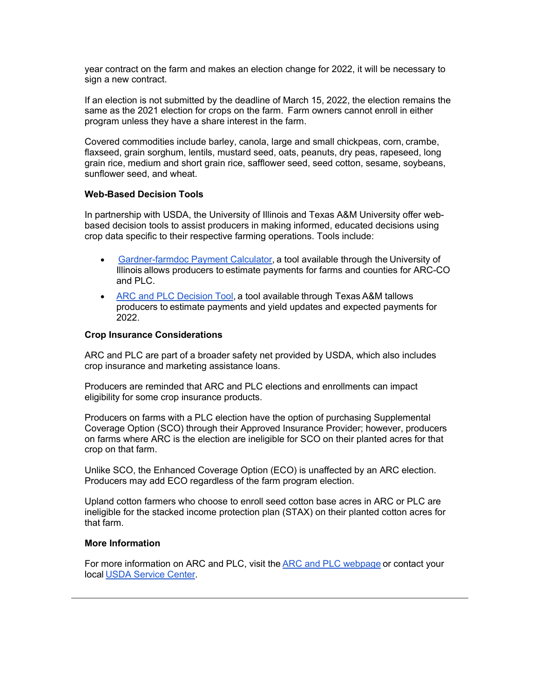year contract on the farm and makes an election change for 2022, it will be necessary to sign a new contract.

If an election is not submitted by the deadline of March 15, 2022, the election remains the same as the 2021 election for crops on the farm.  Farm owners cannot enroll in either program unless they have a share interest in the farm.    

Covered commodities include barley, canola, large and small chickpeas, corn, crambe, flaxseed, grain sorghum, lentils, mustard seed, oats, peanuts, dry peas, rapeseed, long grain rice, medium and short grain rice, safflower seed, seed cotton, sesame, soybeans, sunflower seed, and wheat.   

#### **Web-Based Decision Tools**

In partnership with USDA, the University of Illinois and Texas A&M University offer webbased decision tools to assist producers in making informed, educated decisions using crop data specific to their respective farming operations. Tools include:  

- [Gardner-farmdoc Payment Calculator](https://lnks.gd/l/eyJhbGciOiJIUzI1NiJ9.eyJidWxsZXRpbl9saW5rX2lkIjoxMjQsInVyaSI6ImJwMjpjbGljayIsImJ1bGxldGluX2lkIjoiMjAyMjAyMDguNTMwODE5MzEiLCJ1cmwiOiJodHRwczovL2Zhcm1kb2NkYWlseS5pbGxpbm9pcy5lZHUvMjAxOS8wOC9pbnRyb2R1Y2luZy10aGUtZ2FyZG5lci1mYXJtZG9jLXBheW1lbnQtY2FsY3VsYXRvci5odG1sJTIyJTIwL3QlMjAlMjJfYmxhbms_dXRtX21lZGl1bT1lbWFpbCZ1dG1fc291cmNlPWdvdmRlbGl2ZXJ5In0.XCARb3sl8sA3xCCIUW_NFlF_UT6iKjlosIPolXYNSBM/s/1512326346/br/126307924675-l), a tool available through the University of Illinois allows producers to estimate payments for farms and counties for ARC-CO and PLC.
- [ARC and PLC Decision Tool](https://lnks.gd/l/eyJhbGciOiJIUzI1NiJ9.eyJidWxsZXRpbl9saW5rX2lkIjoxMjUsInVyaSI6ImJwMjpjbGljayIsImJ1bGxldGluX2lkIjoiMjAyMjAyMDguNTMwODE5MzEiLCJ1cmwiOiJodHRwczovL3d3dy5hZnBjLnRhbXUuZWR1Lz91dG1fbWVkaXVtPWVtYWlsJnV0bV9zb3VyY2U9Z292ZGVsaXZlcnkifQ.D7r5yL305jGjrewpuxjV_CLGbKS0BLAsvnuyrPmLcGY/s/1512326346/br/126307924675-l), a tool available through Texas A&M tallows producers to estimate payments and yield updates and expected payments for 2022.

#### **Crop Insurance Considerations**

ARC and PLC are part of a broader safety net provided by USDA, which also includes crop insurance and marketing assistance loans.  

Producers are reminded that ARC and PLC elections and enrollments can impact eligibility for some crop insurance products.  

Producers on farms with a PLC election have the option of purchasing Supplemental Coverage Option (SCO) through their Approved Insurance Provider; however, producers on farms where ARC is the election are ineligible for SCO on their planted acres for that crop on that farm.  

Unlike SCO, the Enhanced Coverage Option (ECO) is unaffected by an ARC election.  Producers may add ECO regardless of the farm program election. 

Upland cotton farmers who choose to enroll seed cotton base acres in ARC or PLC are ineligible for the stacked income protection plan (STAX) on their planted cotton acres for that farm.   

#### **More Information**

For more information on ARC and PLC, visit the [ARC and PLC webpage](https://lnks.gd/l/eyJhbGciOiJIUzI1NiJ9.eyJidWxsZXRpbl9saW5rX2lkIjoxMjYsInVyaSI6ImJwMjpjbGljayIsImJ1bGxldGluX2lkIjoiMjAyMjAyMDguNTMwODE5MzEiLCJ1cmwiOiJodHRwczovL3d3dy5mc2EudXNkYS5nb3YvcHJvZ3JhbXMtYW5kLXNlcnZpY2VzL2FyY3BsY19wcm9ncmFtL2luZGV4P3V0bV9tZWRpdW09ZW1haWwmdXRtX3NvdXJjZT1nb3ZkZWxpdmVyeSJ9.jOpJy4MEKVGvdLtWVUmDNbFZf07uXzg7AoVzqc3xI3Q/s/1512326346/br/126307924675-l) or contact your local [USDA Service Center](https://lnks.gd/l/eyJhbGciOiJIUzI1NiJ9.eyJidWxsZXRpbl9saW5rX2lkIjoxMjcsInVyaSI6ImJwMjpjbGljayIsImJ1bGxldGluX2lkIjoiMjAyMjAyMDguNTMwODE5MzEiLCJ1cmwiOiJodHRwOi8vd3d3LmZhcm1lcnMuZ292L3NlcnZpY2UtbG9jYXRvcj91dG1fbWVkaXVtPWVtYWlsJnV0bV9zb3VyY2U9Z292ZGVsaXZlcnkifQ.xbuBtkvxaAGPWPInT1Av-UGX_TfkoPuv9BJHw8D8yjU/s/1512326346/br/126307924675-l).